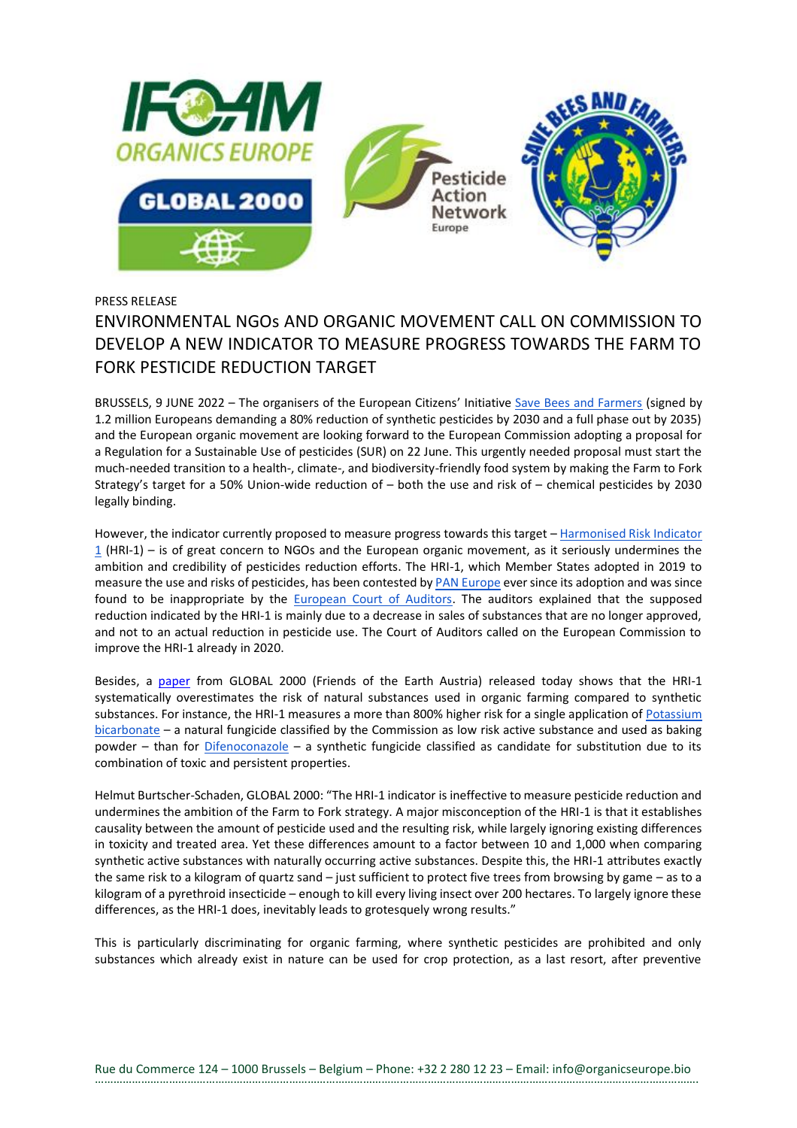

PRESS RELEASE

## ENVIRONMENTAL NGOs AND ORGANIC MOVEMENT CALL ON COMMISSION TO DEVELOP A NEW INDICATOR TO MEASURE PROGRESS TOWARDS THE FARM TO FORK PESTICIDE REDUCTION TARGET

BRUSSELS, 9 JUNE 2022 – The organisers of the European Citizens' Initiative [Save Bees and Farmers](http://savebeesandfarmers.eu/) (signed by 1.2 million Europeans demanding a 80% reduction of synthetic pesticides by 2030 and a full phase out by 2035) and the European organic movement are looking forward to the European Commission adopting a proposal for a Regulation for a Sustainable Use of pesticides (SUR) on 22 June. This urgently needed proposal must start the much-needed transition to a health-, climate-, and biodiversity-friendly food system by making the Farm to Fork Strategy's target for a 50% Union-wide reduction of – both the use and risk of – chemical pesticides by 2030 legally binding.

However, the indicator currently proposed to measure progress towards this target - Harmonised Risk Indicator [1](https://eur-lex.europa.eu/legal-content/EN/TXT/PDF/?uri=CELEX:32019L0782&from=EN) (HRI-1) – is of great concern to NGOs and the European organic movement, as it seriously undermines the ambition and credibility of pesticides reduction efforts. The HRI-1, which Member States adopted in 2019 to measure the use and risks of pesticides, has been contested b[y PAN Europe](https://www.pan-europe.info/sites/pan-europe.info/files/public/resources/press-releases/PR%20with%20LIFE%20logo/20211202_PAN%20Europe%20position%20on%20pesticide%20indicator%20final.pdf) ever since its adoption and was since found to be inappropriate by the **European Court of Auditors**. The auditors explained that the supposed reduction indicated by the HRI-1 is mainly due to a decrease in sales of substances that are no longer approved, and not to an actual reduction in pesticide use. The Court of Auditors called on the European Commission to improve the HRI-1 already in 2020.

Besides, a [paper](https://www.organicseurope.bio/content/uploads/2022/06/GLOBAL2000_HRI-1_final_28022022.pdf) from GLOBAL 2000 (Friends of the Earth Austria) released today shows that the HRI-1 systematically overestimates the risk of natural substances used in organic farming compared to synthetic substances. For instance, the HRI-1 measures a more than 800% higher risk for a single application of Potassium [bicarbonate](https://ec.europa.eu/food/plant/pesticides/eu-pesticides-database/active-substances/?event=as.details&as_id=51) – a natural fungicide classified by the Commission as low risk active substance and used as baking powder – than for [Difenoconazole](https://ec.europa.eu/food/plant/pesticides/eu-pesticides-database/active-substances/?event=as.details&as_id=631) – a synthetic fungicide classified as candidate for substitution due to its combination of toxic and persistent properties.

Helmut Burtscher-Schaden, GLOBAL 2000: "The HRI-1 indicator is ineffective to measure pesticide reduction and undermines the ambition of the Farm to Fork strategy. A major misconception of the HRI-1 is that it establishes causality between the amount of pesticide used and the resulting risk, while largely ignoring existing differences in toxicity and treated area. Yet these differences amount to a factor between 10 and 1,000 when comparing synthetic active substances with naturally occurring active substances. Despite this, the HRI-1 attributes exactly the same risk to a kilogram of quartz sand – just sufficient to protect five trees from browsing by game – as to a kilogram of a pyrethroid insecticide – enough to kill every living insect over 200 hectares. To largely ignore these differences, as the HRI-1 does, inevitably leads to grotesquely wrong results."

This is particularly discriminating for organic farming, where synthetic pesticides are prohibited and only substances which already exist in nature can be used for crop protection, as a last resort, after preventive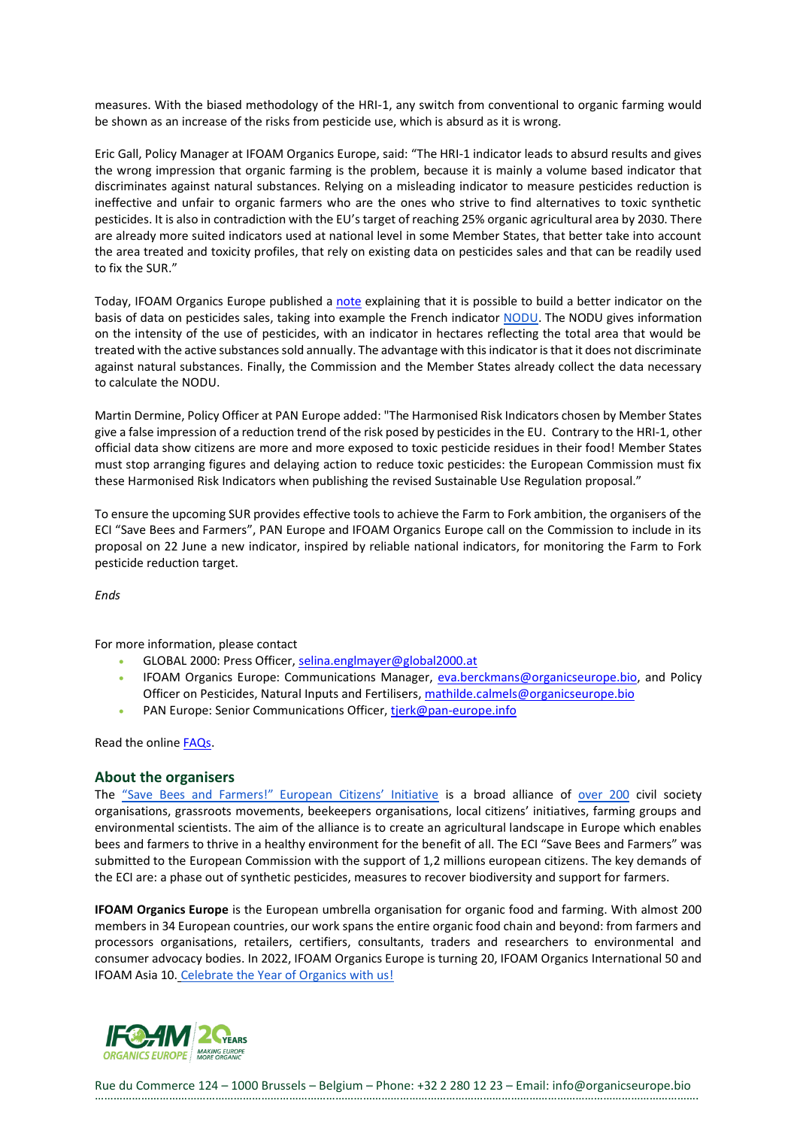measures. With the biased methodology of the HRI-1, any switch from conventional to organic farming would be shown as an increase of the risks from pesticide use, which is absurd as it is wrong.

Eric Gall, Policy Manager at IFOAM Organics Europe, said: "The HRI-1 indicator leads to absurd results and gives the wrong impression that organic farming is the problem, because it is mainly a volume based indicator that discriminates against natural substances. Relying on a misleading indicator to measure pesticides reduction is ineffective and unfair to organic farmers who are the ones who strive to find alternatives to toxic synthetic pesticides. It is also in contradiction with the EU's target of reaching 25% organic agricultural area by 2030. There are already more suited indicators used at national level in some Member States, that better take into account the area treated and toxicity profiles, that rely on existing data on pesticides sales and that can be readily used to fix the SUR."

Today, IFOAM Organics Europe published a [note](https://www.organicseurope.bio/content/uploads/2022/06/IFOAMEU_Policy_SUR_Indicators_Publication_202206.pdf) explaining that it is possible to build a better indicator on the basis of data on pesticides sales, taking into example the French indicator [NODU.](https://agriculture.gouv.fr/quest-ce-que-le-nodu) The NODU gives information on the intensity of the use of pesticides, with an indicator in hectares reflecting the total area that would be treated with the active substances sold annually. The advantage with this indicator is that it does not discriminate against natural substances. Finally, the Commission and the Member States already collect the data necessary to calculate the NODU.

Martin Dermine, Policy Officer at PAN Europe added: "The Harmonised Risk Indicators chosen by Member States give a false impression of a reduction trend of the risk posed by pesticides in the EU. Contrary to the HRI-1, other official data show citizens are more and more exposed to toxic pesticide residues in their food! Member States must stop arranging figures and delaying action to reduce toxic pesticides: the European Commission must fix these Harmonised Risk Indicators when publishing the revised Sustainable Use Regulation proposal."

To ensure the upcoming SUR provides effective tools to achieve the Farm to Fork ambition, the organisers of the ECI "Save Bees and Farmers", PAN Europe and IFOAM Organics Europe call on the Commission to include in its proposal on 22 June a new indicator, inspired by reliable national indicators, for monitoring the Farm to Fork pesticide reduction target.

*Ends*

For more information, please contact

- GLOBAL 2000: Press Officer, [selina.englmayer@global2000.at](mailto:selina.englmayer@global2000.at)
- IFOAM Organics Europe: Communications Manager, [eva.berckmans@organicseurope.bio,](mailto:eva.berckmans@organicseurope.bio) and Policy Officer on Pesticides, Natural Inputs and Fertilisers, [mathilde.calmels@organicseurope.bio](mailto:mathilde.calmels@organicseurope.bio)
- PAN Europe: Senior Communications Officer, [tjerk@pan-europe.info](mailto:tjerk@pan-europe.info)

Read the online [FAQs.](https://www.organicseurope.bio/content/uploads/2022/06/ifoameu_policy_SUR_FAQ_press-conference_HRI-indicator_20220609.pdf?dd)

## **About the organisers**

The ["Save Bees and Farmers!" European Citizens' Initiative](https://www.savebeesandfarmers.eu/) is a broad alliance of [over 200](https://www.savebeesandfarmers.eu/eng/about-us/our-alliance/) civil society organisations, grassroots movements, beekeepers organisations, local citizens' initiatives, farming groups and environmental scientists. The aim of the alliance is to create an agricultural landscape in Europe which enables bees and farmers to thrive in a healthy environment for the benefit of all. The ECI "Save Bees and Farmers" was submitted to the European Commission with the support of 1,2 millions european citizens. The key demands of the ECI are: a phase out of synthetic pesticides, measures to recover biodiversity and support for farmers.

**IFOAM Organics Europe** is the European umbrella organisation for organic food and farming. With almost 200 members in 34 European countries, our work spans the entire organic food chain and beyond: from farmers and processors organisations, retailers, certifiers, consultants, traders and researchers to environmental and consumer advocacy bodies. In 2022, IFOAM Organics Europe is turning 20, IFOAM Organics International 50 and IFOAM Asia 10. [Celebrate the Year of Organics with us!](https://www.organicseurope.bio/about-us/20-years/)



Rue du Commerce 124 – 1000 Brussels – Belgium – Phone: +32 2 280 12 23 – Email: info@organicseurope.bio …………………………………………………………………………………………………………………………………………………………………………….